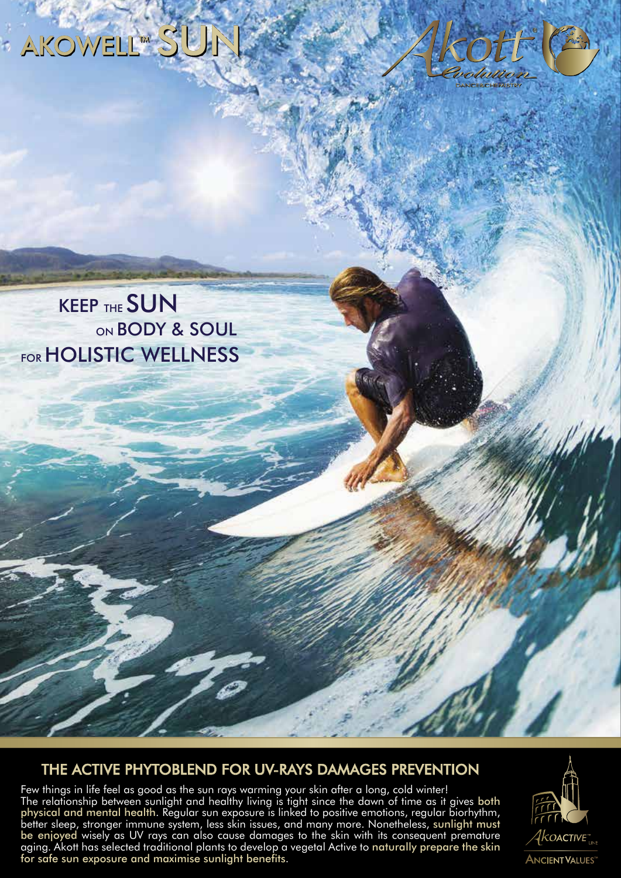



KEEP THE **SUN**<br>ON BODY & SOUL **FOR HOLISTIC WELLNESS** 

#### THE ACTIVE PHYTOBLEND FOR UV-RAYS DAMAGES PREVENTION

Few things in life feel as good as the sun rays warming your skin after a long, cold winter! The relationship between sunlight and healthy living is tight since the dawn of time as it gives both physical and mental health. Regular sun exposure is linked to positive emotions, regular biorhythm, better sleep, stronger immune system, less skin issues, and many more. Nonetheless, sunlight must be enjoyed wisely as UV rays can also cause damages to the skin with its consequent premature aging. Akott has selected traditional plants to develop a vegetal Active to naturally prepare the skin for safe sun exposure and maximise sunlight benefits.